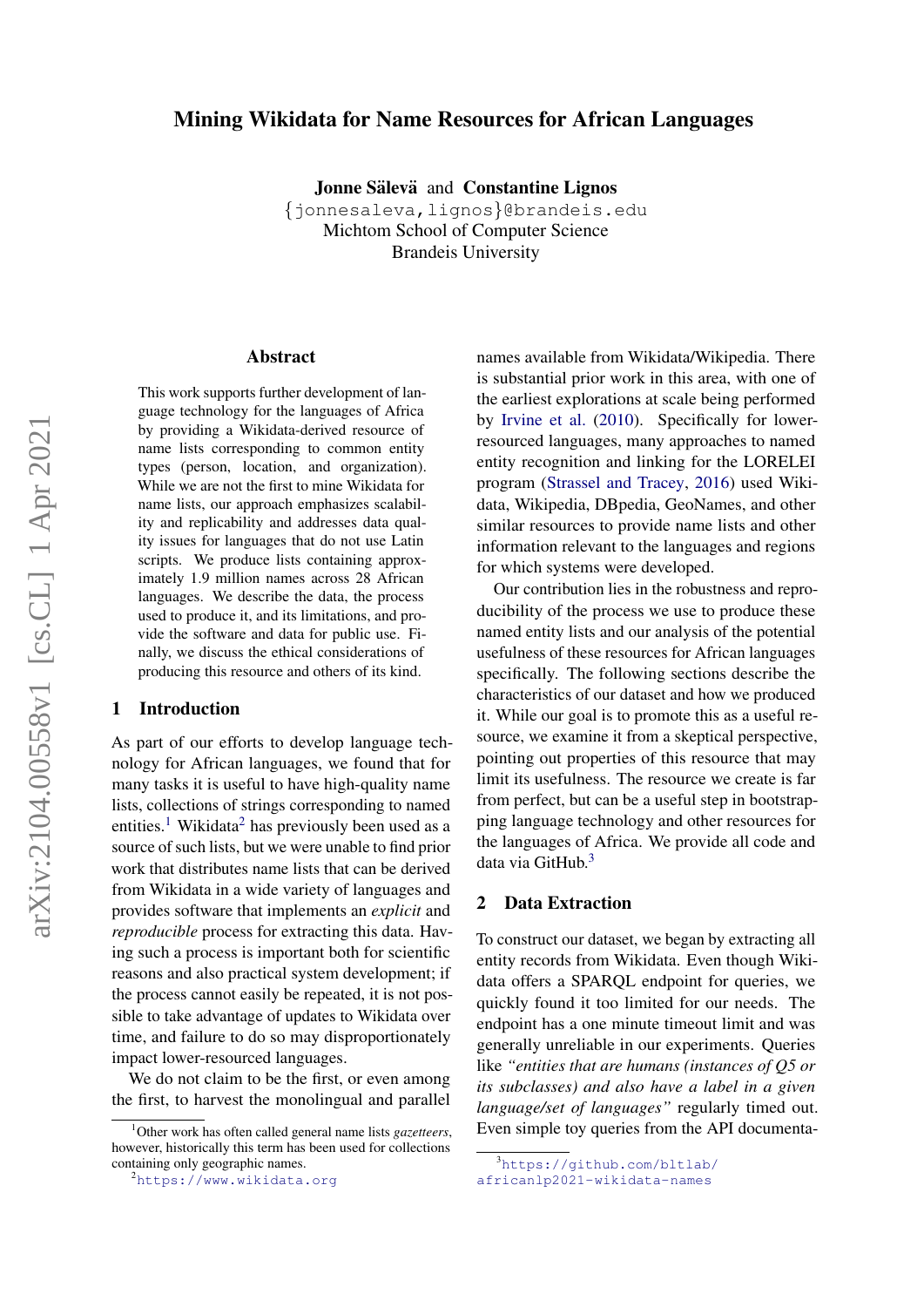# Mining Wikidata for Name Resources for African Languages

Jonne Sälevä and Constantine Lignos

{jonnesaleva,lignos}@brandeis.edu Michtom School of Computer Science Brandeis University

#### Abstract

This work supports further development of language technology for the languages of Africa by providing a Wikidata-derived resource of name lists corresponding to common entity types (person, location, and organization). While we are not the first to mine Wikidata for name lists, our approach emphasizes scalability and replicability and addresses data quality issues for languages that do not use Latin scripts. We produce lists containing approximately 1.9 million names across 28 African languages. We describe the data, the process used to produce it, and its limitations, and provide the software and data for public use. Finally, we discuss the ethical considerations of producing this resource and others of its kind.

### 1 Introduction

As part of our efforts to develop language technology for African languages, we found that for many tasks it is useful to have high-quality name lists, collections of strings corresponding to named entities.<sup>[1](#page-0-0)</sup> Wikidata<sup>[2](#page-0-1)</sup> has previously been used as a source of such lists, but we were unable to find prior work that distributes name lists that can be derived from Wikidata in a wide variety of languages and provides software that implements an *explicit* and *reproducible* process for extracting this data. Having such a process is important both for scientific reasons and also practical system development; if the process cannot easily be repeated, it is not possible to take advantage of updates to Wikidata over time, and failure to do so may disproportionately impact lower-resourced languages.

We do not claim to be the first, or even among the first, to harvest the monolingual and parallel names available from Wikidata/Wikipedia. There is substantial prior work in this area, with one of the earliest explorations at scale being performed by [Irvine et al.](#page-5-0) [\(2010\)](#page-5-0). Specifically for lowerresourced languages, many approaches to named entity recognition and linking for the LORELEI program [\(Strassel and Tracey,](#page-5-1) [2016\)](#page-5-1) used Wikidata, Wikipedia, DBpedia, GeoNames, and other similar resources to provide name lists and other information relevant to the languages and regions for which systems were developed.

Our contribution lies in the robustness and reproducibility of the process we use to produce these named entity lists and our analysis of the potential usefulness of these resources for African languages specifically. The following sections describe the characteristics of our dataset and how we produced it. While our goal is to promote this as a useful resource, we examine it from a skeptical perspective, pointing out properties of this resource that may limit its usefulness. The resource we create is far from perfect, but can be a useful step in bootstrapping language technology and other resources for the languages of Africa. We provide all code and data via GitHub.<sup>[3](#page-0-2)</sup>

#### 2 Data Extraction

To construct our dataset, we began by extracting all entity records from Wikidata. Even though Wikidata offers a SPARQL endpoint for queries, we quickly found it too limited for our needs. The endpoint has a one minute timeout limit and was generally unreliable in our experiments. Queries like *"entities that are humans (instances of Q5 or its subclasses) and also have a label in a given language/set of languages"* regularly timed out. Even simple toy queries from the API documenta-

<span id="page-0-0"></span><sup>1</sup>Other work has often called general name lists *gazetteers*, however, historically this term has been used for collections containing only geographic names.

<span id="page-0-1"></span><sup>2</sup><https://www.wikidata.org>

<span id="page-0-2"></span><sup>3</sup>[https://github.com/bltlab/](https://github.com/bltlab/africanlp2021-wikidata-names)

[africanlp2021-wikidata-names](https://github.com/bltlab/africanlp2021-wikidata-names)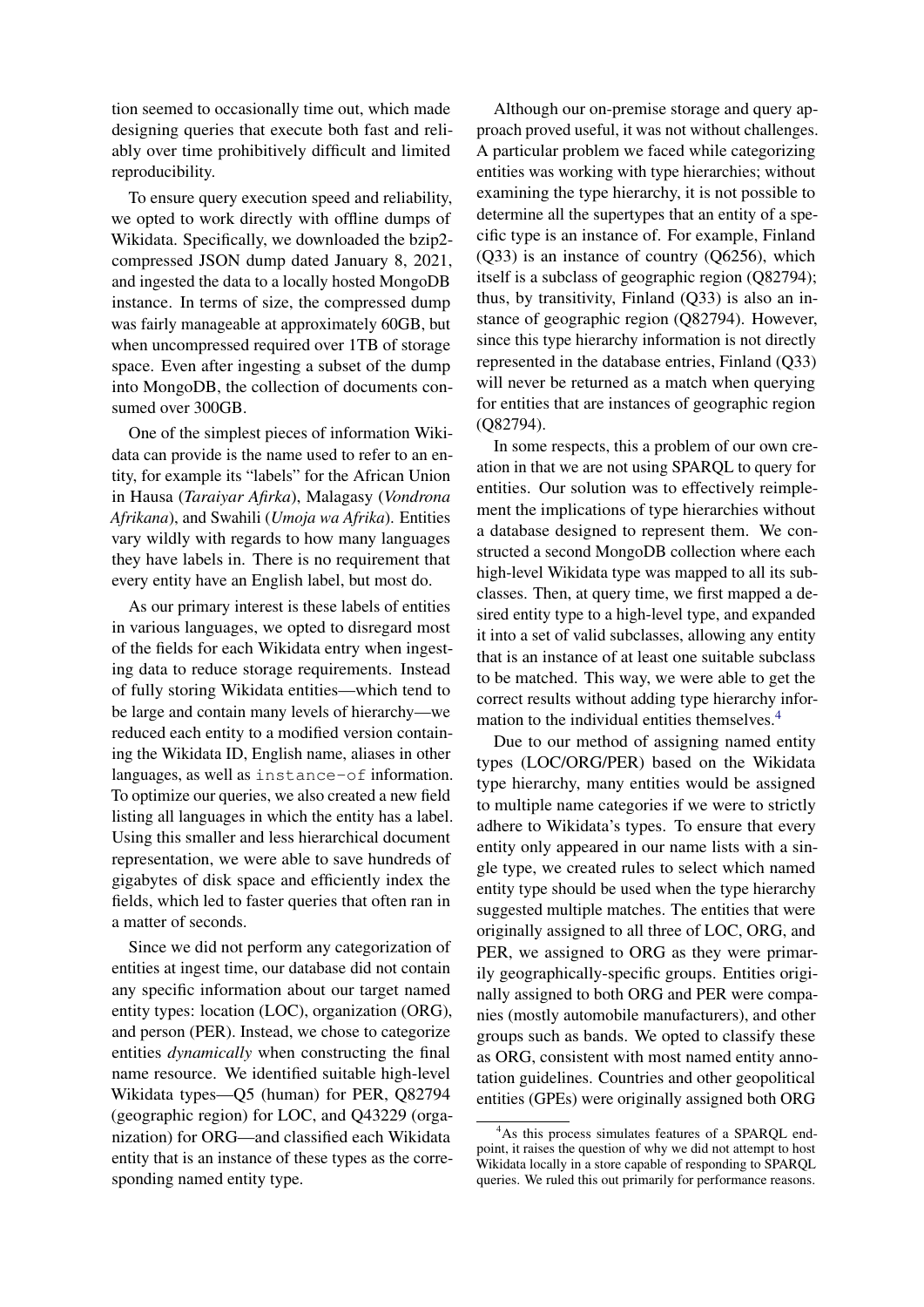tion seemed to occasionally time out, which made designing queries that execute both fast and reliably over time prohibitively difficult and limited reproducibility.

To ensure query execution speed and reliability, we opted to work directly with offline dumps of Wikidata. Specifically, we downloaded the bzip2 compressed JSON dump dated January 8, 2021, and ingested the data to a locally hosted MongoDB instance. In terms of size, the compressed dump was fairly manageable at approximately 60GB, but when uncompressed required over 1TB of storage space. Even after ingesting a subset of the dump into MongoDB, the collection of documents consumed over 300GB.

One of the simplest pieces of information Wikidata can provide is the name used to refer to an entity, for example its "labels" for the African Union in Hausa (*Taraiyar Afirka*), Malagasy (*Vondrona Afrikana*), and Swahili (*Umoja wa Afrika*). Entities vary wildly with regards to how many languages they have labels in. There is no requirement that every entity have an English label, but most do.

As our primary interest is these labels of entities in various languages, we opted to disregard most of the fields for each Wikidata entry when ingesting data to reduce storage requirements. Instead of fully storing Wikidata entities—which tend to be large and contain many levels of hierarchy—we reduced each entity to a modified version containing the Wikidata ID, English name, aliases in other languages, as well as instance-of information. To optimize our queries, we also created a new field listing all languages in which the entity has a label. Using this smaller and less hierarchical document representation, we were able to save hundreds of gigabytes of disk space and efficiently index the fields, which led to faster queries that often ran in a matter of seconds.

Since we did not perform any categorization of entities at ingest time, our database did not contain any specific information about our target named entity types: location (LOC), organization (ORG), and person (PER). Instead, we chose to categorize entities *dynamically* when constructing the final name resource. We identified suitable high-level Wikidata types—Q5 (human) for PER, Q82794 (geographic region) for LOC, and Q43229 (organization) for ORG—and classified each Wikidata entity that is an instance of these types as the corresponding named entity type.

Although our on-premise storage and query approach proved useful, it was not without challenges. A particular problem we faced while categorizing entities was working with type hierarchies; without examining the type hierarchy, it is not possible to determine all the supertypes that an entity of a specific type is an instance of. For example, Finland (Q33) is an instance of country (Q6256), which itself is a subclass of geographic region (Q82794); thus, by transitivity, Finland (Q33) is also an instance of geographic region (Q82794). However, since this type hierarchy information is not directly represented in the database entries, Finland (Q33) will never be returned as a match when querying for entities that are instances of geographic region (Q82794).

In some respects, this a problem of our own creation in that we are not using SPARQL to query for entities. Our solution was to effectively reimplement the implications of type hierarchies without a database designed to represent them. We constructed a second MongoDB collection where each high-level Wikidata type was mapped to all its subclasses. Then, at query time, we first mapped a desired entity type to a high-level type, and expanded it into a set of valid subclasses, allowing any entity that is an instance of at least one suitable subclass to be matched. This way, we were able to get the correct results without adding type hierarchy infor-mation to the individual entities themselves.<sup>[4](#page-1-0)</sup>

Due to our method of assigning named entity types (LOC/ORG/PER) based on the Wikidata type hierarchy, many entities would be assigned to multiple name categories if we were to strictly adhere to Wikidata's types. To ensure that every entity only appeared in our name lists with a single type, we created rules to select which named entity type should be used when the type hierarchy suggested multiple matches. The entities that were originally assigned to all three of LOC, ORG, and PER, we assigned to ORG as they were primarily geographically-specific groups. Entities originally assigned to both ORG and PER were companies (mostly automobile manufacturers), and other groups such as bands. We opted to classify these as ORG, consistent with most named entity annotation guidelines. Countries and other geopolitical entities (GPEs) were originally assigned both ORG

<span id="page-1-0"></span><sup>&</sup>lt;sup>4</sup>As this process simulates features of a SPAROL endpoint, it raises the question of why we did not attempt to host Wikidata locally in a store capable of responding to SPARQL queries. We ruled this out primarily for performance reasons.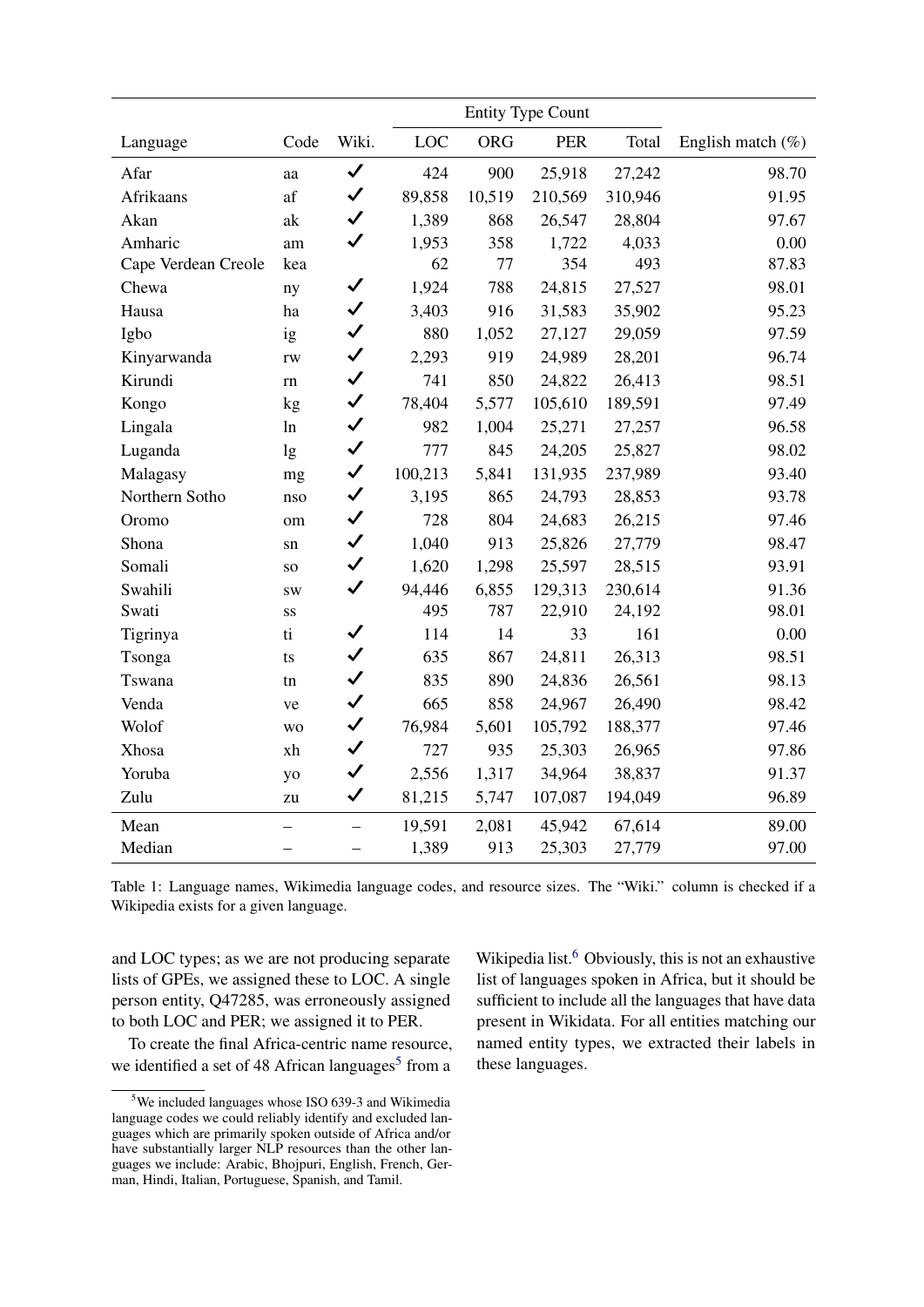<span id="page-2-1"></span>

|                     |                 |                          | <b>Entity Type Count</b> |            |            |         |                      |
|---------------------|-----------------|--------------------------|--------------------------|------------|------------|---------|----------------------|
| Language            | Code            | Wiki.                    | <b>LOC</b>               | <b>ORG</b> | <b>PER</b> | Total   | English match $(\%)$ |
| Afar                | aa              | $\checkmark$             | 424                      | 900        | 25,918     | 27,242  | 98.70                |
| Afrikaans           | af              | $\checkmark$             | 89,858                   | 10,519     | 210,569    | 310,946 | 91.95                |
| Akan                | ak              | $\checkmark$             | 1,389                    | 868        | 26,547     | 28,804  | 97.67                |
| Amharic             | am              | $\checkmark$             | 1,953                    | 358        | 1,722      | 4,033   | 0.00                 |
| Cape Verdean Creole | kea             |                          | 62                       | 77         | 354        | 493     | 87.83                |
| Chewa               | ny              | $\checkmark$             | 1,924                    | 788        | 24,815     | 27,527  | 98.01                |
| Hausa               | ha              | $\checkmark$             | 3,403                    | 916        | 31,583     | 35,902  | 95.23                |
| Igbo                | ig              | $\checkmark$             | 880                      | 1,052      | 27,127     | 29,059  | 97.59                |
| Kinyarwanda         | $\mathbf{rw}$   | $\checkmark$             | 2,293                    | 919        | 24,989     | 28,201  | 96.74                |
| Kirundi             | rn              | $\checkmark$             | 741                      | 850        | 24,822     | 26,413  | 98.51                |
| Kongo               | kg              | $\checkmark$             | 78,404                   | 5,577      | 105,610    | 189,591 | 97.49                |
| Lingala             | ln              | $\checkmark$             | 982                      | 1,004      | 25,271     | 27,257  | 96.58                |
| Luganda             | lg              | $\checkmark$             | 777                      | 845        | 24,205     | 25,827  | 98.02                |
| Malagasy            | mg              | $\checkmark$             | 100,213                  | 5,841      | 131,935    | 237,989 | 93.40                |
| Northern Sotho      | nso             | $\checkmark$             | 3,195                    | 865        | 24,793     | 28,853  | 93.78                |
| Oromo               | om              | $\checkmark$             | 728                      | 804        | 24,683     | 26,215  | 97.46                |
| Shona               | sn              | $\checkmark$             | 1,040                    | 913        | 25,826     | 27,779  | 98.47                |
| Somali              | SO <sub>1</sub> | $\checkmark$             | 1,620                    | 1,298      | 25,597     | 28,515  | 93.91                |
| Swahili             | <b>SW</b>       | $\checkmark$             | 94,446                   | 6,855      | 129,313    | 230,614 | 91.36                |
| Swati               | SS              |                          | 495                      | 787        | 22,910     | 24,192  | 98.01                |
| Tigrinya            | $\mathbf{t}$    | $\checkmark$             | 114                      | 14         | 33         | 161     | 0.00                 |
| Tsonga              | ts              | $\checkmark$             | 635                      | 867        | 24,811     | 26,313  | 98.51                |
| Tswana              | tn              | $\checkmark$             | 835                      | 890        | 24,836     | 26,561  | 98.13                |
| Venda               | ve              | $\checkmark$             | 665                      | 858        | 24,967     | 26,490  | 98.42                |
| Wolof               | <b>WO</b>       | $\checkmark$             | 76,984                   | 5,601      | 105,792    | 188,377 | 97.46                |
| Xhosa               | xh              | $\checkmark$             | 727                      | 935        | 25,303     | 26,965  | 97.86                |
| Yoruba              | yo              | $\checkmark$             | 2,556                    | 1,317      | 34,964     | 38,837  | 91.37                |
| Zulu                | zu              | $\checkmark$             | 81,215                   | 5,747      | 107,087    | 194,049 | 96.89                |
| Mean                |                 | $\overline{\phantom{0}}$ | 19,591                   | 2,081      | 45,942     | 67,614  | 89.00                |
| Median              |                 | $\overline{\phantom{0}}$ | 1,389                    | 913        | 25,303     | 27,779  | 97.00                |

Table 1: Language names, Wikimedia language codes, and resource sizes. The "Wiki." column is checked if a Wikipedia exists for a given language.

and LOC types; as we are not producing separate lists of GPEs, we assigned these to LOC. A single person entity, Q47285, was erroneously assigned to both LOC and PER; we assigned it to PER.

To create the final Africa-centric name resource, we identified a set of 48 African languages<sup>5</sup> from a

Wikipedia list.<sup>6</sup> Obviously, this is not an exhaustive list of languages spoken in Africa, but it should be sufficient to include all the languages that have data present in Wikidata. For all entities matching our named entity types, we extracted their labels in these languages.

<span id="page-2-0"></span> $5$ We included languages whose ISO 639-3 and Wikimedia language codes we could reliably identify and excluded languages which are primarily spoken outside of Africa and/or have substantially larger NLP resources than the other languages we include: Arabic, Bhojpuri, English, French, German, Hindi, Italian, Portuguese, Spanish, and Tamil.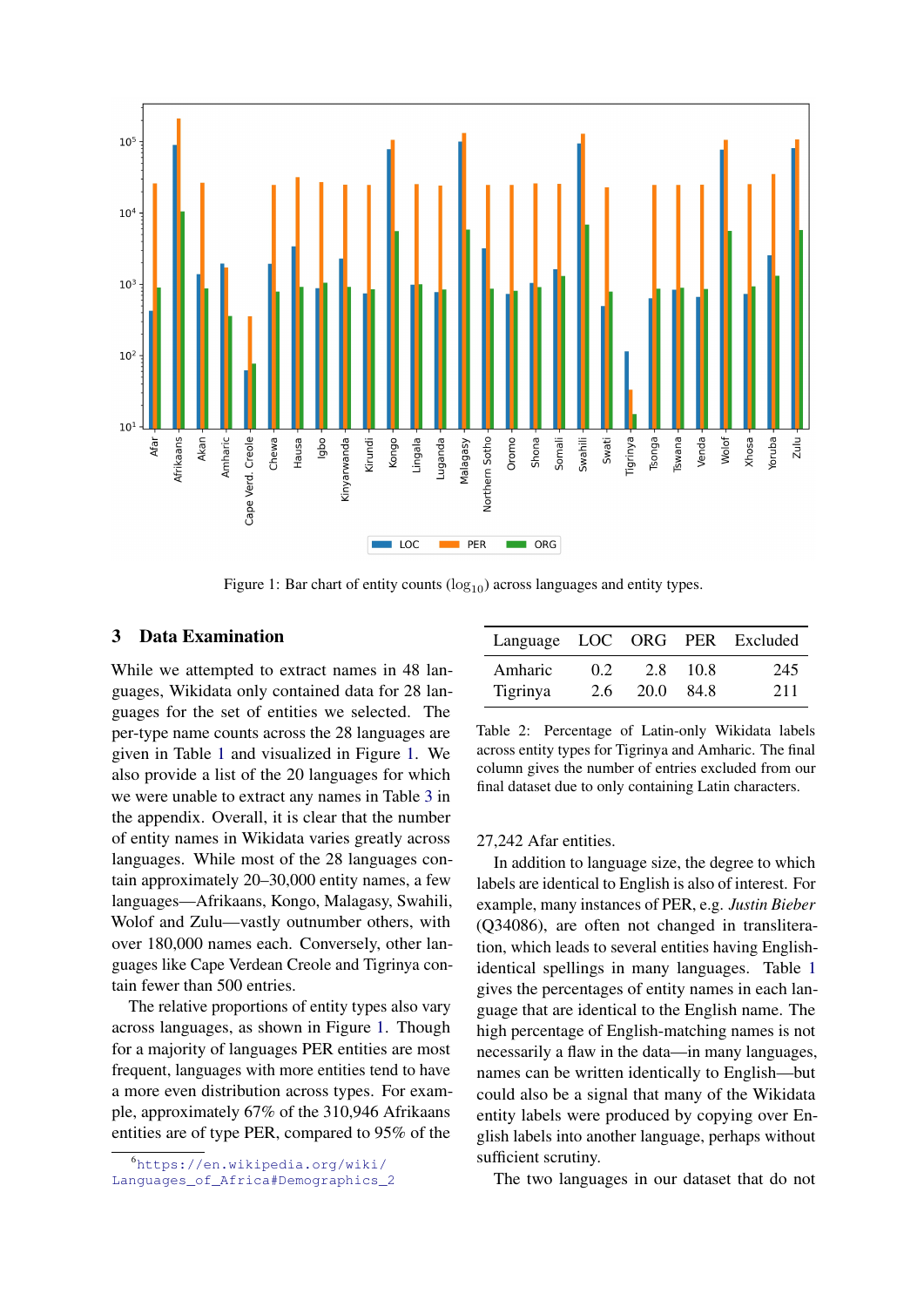<span id="page-3-1"></span>

Figure 1: Bar chart of entity counts  $(log_{10})$  across languages and entity types.

### 3 Data Examination

While we attempted to extract names in 48 languages, Wikidata only contained data for 28 languages for the set of entities we selected. The per-type name counts across the 28 languages are given in Table [1](#page-2-1) and visualized in Figure [1.](#page-3-1) We also provide a list of the 20 languages for which we were unable to extract any names in Table [3](#page-5-2) in the appendix. Overall, it is clear that the number of entity names in Wikidata varies greatly across languages. While most of the 28 languages contain approximately 20–30,000 entity names, a few languages—Afrikaans, Kongo, Malagasy, Swahili, Wolof and Zulu—vastly outnumber others, with over 180,000 names each. Conversely, other languages like Cape Verdean Creole and Tigrinya contain fewer than 500 entries.

The relative proportions of entity types also vary across languages, as shown in Figure [1.](#page-3-1) Though for a majority of languages PER entities are most frequent, languages with more entities tend to have a more even distribution across types. For example, approximately 67% of the 310,946 Afrikaans entities are of type PER, compared to 95% of the

<span id="page-3-2"></span>

| Language LOC ORG PER Excluded |               |      |       |     |
|-------------------------------|---------------|------|-------|-----|
| Amharic                       | $0.2^{\circ}$ | 2.8  | -10.8 | 245 |
| Tigrinya                      | 2.6           | 20.0 | 84.8  | 211 |

Table 2: Percentage of Latin-only Wikidata labels across entity types for Tigrinya and Amharic. The final column gives the number of entries excluded from our final dataset due to only containing Latin characters.

#### 27,242 Afar entities.

In addition to language size, the degree to which labels are identical to English is also of interest. For example, many instances of PER, e.g. *Justin Bieber* (Q34086), are often not changed in transliteration, which leads to several entities having Englishidentical spellings in many languages. Table [1](#page-2-1) gives the percentages of entity names in each language that are identical to the English name. The high percentage of English-matching names is not necessarily a flaw in the data—in many languages, names can be written identically to English—but could also be a signal that many of the Wikidata entity labels were produced by copying over English labels into another language, perhaps without sufficient scrutiny.

The two languages in our dataset that do not

<span id="page-3-0"></span><sup>6</sup>[https://en.wikipedia.org/wiki/](https://en.wikipedia.org/wiki/Languages_of_Africa#Demographics_2) [Languages\\_of\\_Africa#Demographics\\_2](https://en.wikipedia.org/wiki/Languages_of_Africa#Demographics_2)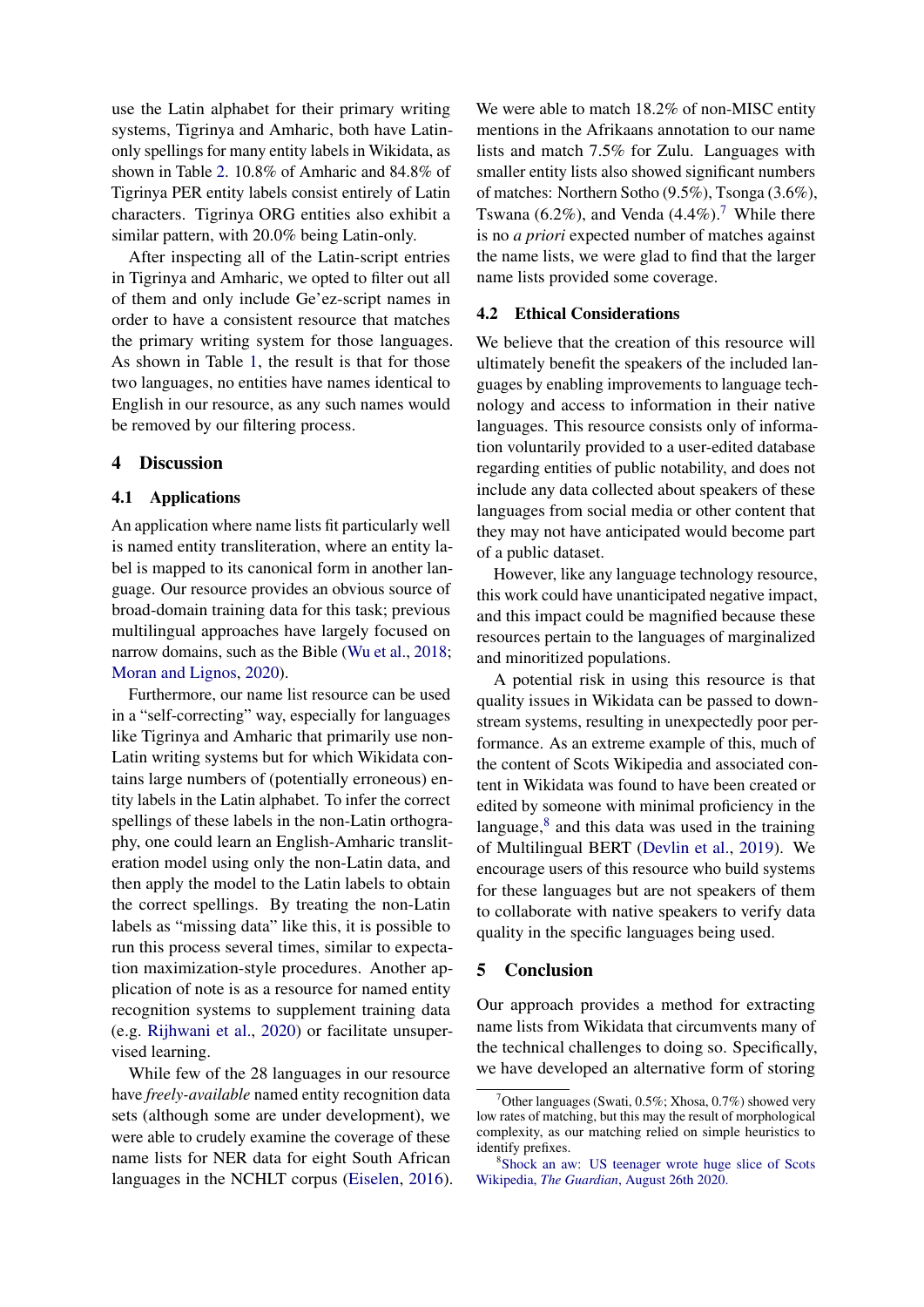use the Latin alphabet for their primary writing systems, Tigrinya and Amharic, both have Latinonly spellings for many entity labels in Wikidata, as shown in Table [2.](#page-3-2) 10.8% of Amharic and 84.8% of Tigrinya PER entity labels consist entirely of Latin characters. Tigrinya ORG entities also exhibit a similar pattern, with 20.0% being Latin-only.

After inspecting all of the Latin-script entries in Tigrinya and Amharic, we opted to filter out all of them and only include Ge'ez-script names in order to have a consistent resource that matches the primary writing system for those languages. As shown in Table [1,](#page-2-1) the result is that for those two languages, no entities have names identical to English in our resource, as any such names would be removed by our filtering process.

## 4 Discussion

#### 4.1 Applications

An application where name lists fit particularly well is named entity transliteration, where an entity label is mapped to its canonical form in another language. Our resource provides an obvious source of broad-domain training data for this task; previous multilingual approaches have largely focused on narrow domains, such as the Bible [\(Wu et al.,](#page-5-3) [2018;](#page-5-3) [Moran and Lignos,](#page-5-4) [2020\)](#page-5-4).

Furthermore, our name list resource can be used in a "self-correcting" way, especially for languages like Tigrinya and Amharic that primarily use non-Latin writing systems but for which Wikidata contains large numbers of (potentially erroneous) entity labels in the Latin alphabet. To infer the correct spellings of these labels in the non-Latin orthography, one could learn an English-Amharic transliteration model using only the non-Latin data, and then apply the model to the Latin labels to obtain the correct spellings. By treating the non-Latin labels as "missing data" like this, it is possible to run this process several times, similar to expectation maximization-style procedures. Another application of note is as a resource for named entity recognition systems to supplement training data (e.g. [Rijhwani et al.,](#page-5-5) [2020\)](#page-5-5) or facilitate unsupervised learning.

While few of the 28 languages in our resource have *freely-available* named entity recognition data sets (although some are under development), we were able to crudely examine the coverage of these name lists for NER data for eight South African languages in the NCHLT corpus [\(Eiselen,](#page-5-6) [2016\)](#page-5-6). We were able to match 18.2% of non-MISC entity mentions in the Afrikaans annotation to our name lists and match 7.5% for Zulu. Languages with smaller entity lists also showed significant numbers of matches: Northern Sotho (9.5%), Tsonga (3.6%), Tswana (6.2%), and Venda (4.4%).<sup>[7](#page-4-0)</sup> While there is no *a priori* expected number of matches against the name lists, we were glad to find that the larger name lists provided some coverage.

#### 4.2 Ethical Considerations

We believe that the creation of this resource will ultimately benefit the speakers of the included languages by enabling improvements to language technology and access to information in their native languages. This resource consists only of information voluntarily provided to a user-edited database regarding entities of public notability, and does not include any data collected about speakers of these languages from social media or other content that they may not have anticipated would become part of a public dataset.

However, like any language technology resource, this work could have unanticipated negative impact, and this impact could be magnified because these resources pertain to the languages of marginalized and minoritized populations.

A potential risk in using this resource is that quality issues in Wikidata can be passed to downstream systems, resulting in unexpectedly poor performance. As an extreme example of this, much of the content of Scots Wikipedia and associated content in Wikidata was found to have been created or edited by someone with minimal proficiency in the language, $8$  and this data was used in the training of Multilingual BERT [\(Devlin et al.,](#page-5-7) [2019\)](#page-5-7). We encourage users of this resource who build systems for these languages but are not speakers of them to collaborate with native speakers to verify data quality in the specific languages being used.

### 5 Conclusion

Our approach provides a method for extracting name lists from Wikidata that circumvents many of the technical challenges to doing so. Specifically, we have developed an alternative form of storing

<span id="page-4-0"></span><sup>&</sup>lt;sup>7</sup>Other languages (Swati, 0.5%; Xhosa, 0.7%) showed very low rates of matching, but this may the result of morphological complexity, as our matching relied on simple heuristics to identify prefixes.

<span id="page-4-1"></span><sup>8</sup> [Shock an aw: US teenager wrote huge slice of Scots](https://www.theguardian.com/uk-news/2020/aug/26/shock-an-aw-us-teenager-wrote-huge-slice-of-scots-wikipedia) Wikipedia, *The Guardian*[, August 26th 2020.](https://www.theguardian.com/uk-news/2020/aug/26/shock-an-aw-us-teenager-wrote-huge-slice-of-scots-wikipedia)